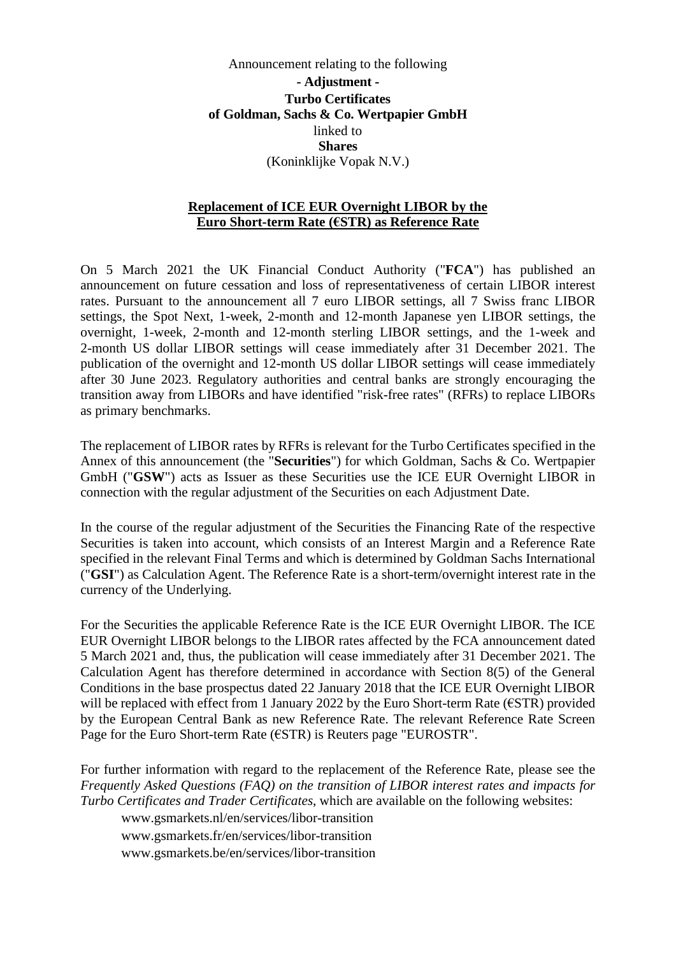Announcement relating to the following **- Adjustment - Turbo Certificates of Goldman, Sachs & Co. Wertpapier GmbH**  linked to **Shares**  (Koninklijke Vopak N.V.)

## **Replacement of ICE EUR Overnight LIBOR by the Euro Short-term Rate (€STR) as Reference Rate**

On 5 March 2021 the UK Financial Conduct Authority ("**FCA**") has published an [announcement on future cessation and loss of representativeness of certain LIBOR interest](https://www.fca.org.uk/publication/documents/future-cessation-loss-representativeness-libor-benchmarks.pdf)  [rates. Pursuant to the announcement all 7 euro LIBOR settings, all 7 Swiss franc LIBOR](https://www.fca.org.uk/publication/documents/future-cessation-loss-representativeness-libor-benchmarks.pdf)  settings, the Spot Next, 1-week, 2-month and 12-month Japanese yen LIBOR settings, the overnight, 1-week, 2-month and 12-month sterling LIBOR settings, and the 1-week and 2-month US dollar LIBOR settings will cease immediately after 31 December 2021. The publication of the overnight and 12-month US dollar LIBOR settings will cease immediately after 30 June 2023. Regulatory authorities and central banks are strongly encouraging the transition away from LIBORs and have identified "risk-free rates" (RFRs) to replace LIBORs as primary benchmarks.

The replacement of LIBOR rates by RFRs is relevant for the Turbo Certificates specified in the Annex of this announcement (the "**Securities**") for which Goldman, Sachs & Co. Wertpapier GmbH ("**GSW**") acts as Issuer as these Securities use the ICE EUR Overnight LIBOR in connection with the regular adjustment of the Securities on each Adjustment Date.

In the course of the regular adjustment of the Securities the Financing Rate of the respective Securities is taken into account, which consists of an Interest Margin and a Reference Rate specified in the relevant Final Terms and which is determined by Goldman Sachs International ("**GSI**") as Calculation Agent. The Reference Rate is a short-term/overnight interest rate in the currency of the Underlying.

For the Securities the applicable Reference Rate is the ICE EUR Overnight LIBOR. The ICE EUR Overnight LIBOR belongs to the LIBOR rates affected by the FCA announcement dated 5 March 2021 and, thus, the publication will cease immediately after 31 December 2021. The Calculation Agent has therefore determined in accordance with Section 8(5) of the General Conditions in the base prospectus dated 22 January 2018 that the ICE EUR Overnight LIBOR will be replaced with effect from 1 January 2022 by the Euro Short-term Rate (€STR) provided by the European Central Bank as new Reference Rate. The relevant Reference Rate Screen Page for the Euro Short-term Rate ( $\epsilon$ STR) is Reuters page "EUROSTR".

For further information with regard to the replacement of the Reference Rate, please see the *Frequently Asked Questions (FAQ) on the transition of LIBOR interest rates and impacts for Turbo Certificates and Trader Certificates*, which are available on the following websites:

www.gsmarkets.nl/en/services/libor-transition

www.gsmarkets.fr/en/services/libor-transition

www.gsmarkets.be/en/services/libor-transition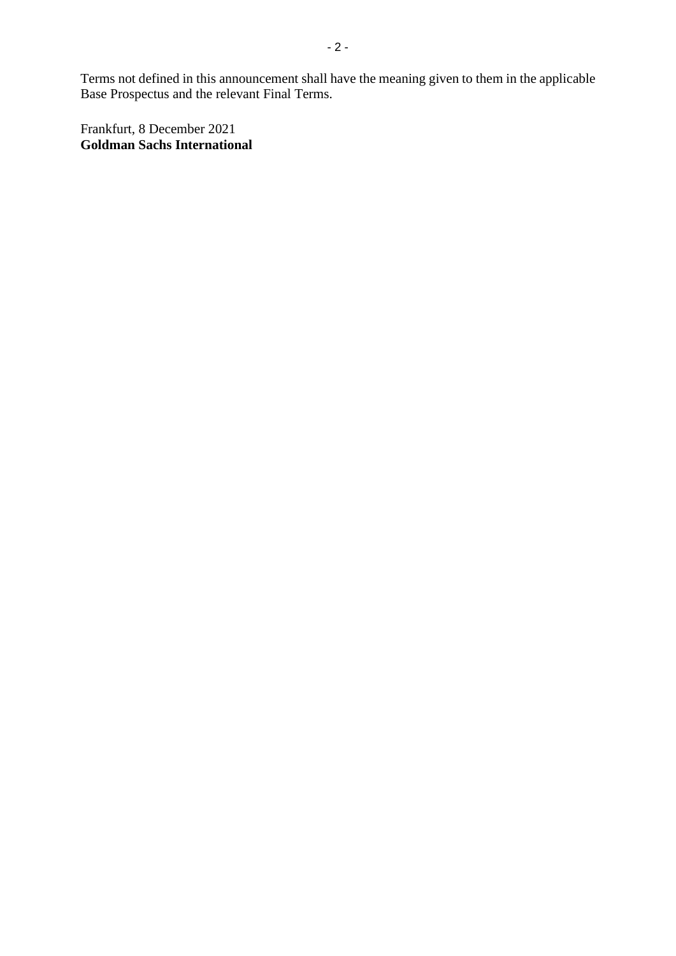Terms not defined in this announcement shall have the meaning given to them in the applicable Base Prospectus and the relevant Final Terms.

Frankfurt, 8 December 2021 **Goldman Sachs International**